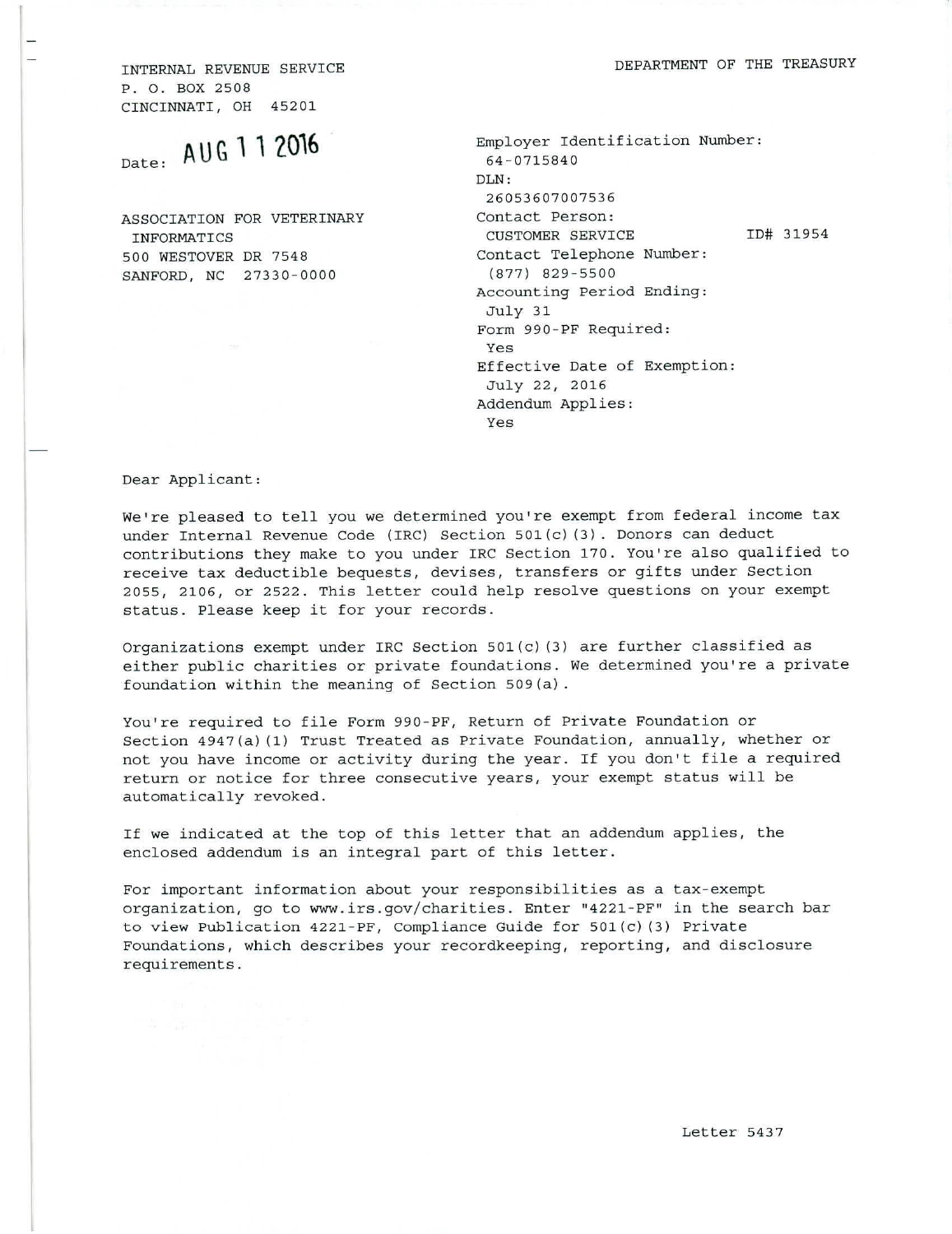INTERNAL REVENUE SERVICE **EXAMPLE SERVICE EXAMPLE SERVICE** DEPARTMENT OF THE TREASURY

P. 0. BOX 2508 CINCINNATI, OH 45201

| <sub>Date:</sub> AUG 1 1 2016                  | Employer Identification Number:<br>64-0715840                                                                  |
|------------------------------------------------|----------------------------------------------------------------------------------------------------------------|
|                                                | DLN:<br>26053607007536                                                                                         |
| ASSOCIATION FOR VETERINARY<br>INFORMATICS      | Contact Person:<br>ID# 31954<br><b>CUSTOMER SERVICE</b>                                                        |
| 500 WESTOVER DR 7548<br>SANFORD, NC 27330-0000 | Contact Telephone Number:<br>$(877)$ 829-5500<br>Accounting Period Ending:<br>July 31<br>Form 990-PF Required: |
| <b>Control</b>                                 | Yes<br>Effective Date of Exemption:<br>July 22, 2016<br>Addendum Applies:<br>Yes                               |

Dear Applicant:

We're pleased to tell you we determined you're exempt from federal income tax under Internal Revenue Code (IRC) Section 501(c)(3). Donors can deduct contributions they make to you under IRC Section 170. You're also qualified to receive tax deductible bequests, devises, transfers or gifts under Section 2055, 2106, or 2522. This letter could help resolve questions on your exempt status. Please keep it for your records.

Organizations exempt under IRC Section 501(c)(3) are further classified as either public charities or private foundations. We determined you're a private foundation within the meaning of Section 509(a).

You're required to file Form 990-PF, Return of Private Foundation or Section 4947(a)(1) Trust Treated as Private Foundation, annually, whether or not you have income or activity during the year. If you don't file a required return or notice for three consecutive years, your exempt status will be automatically revoked.

If we indicated at the top of this letter that an addendum applies, the enclosed addendum is an integral part of this letter.

For important information about your responsibilities as a tax-exempt organization, go to www.irs.gov/charities. Enter "4221-PF" in the search bar to view Publication 4221-PF, Compliance Guide for 501(c)(3) Private Foundations, which describes your recordkeeping, reporting, and disclosure requirements.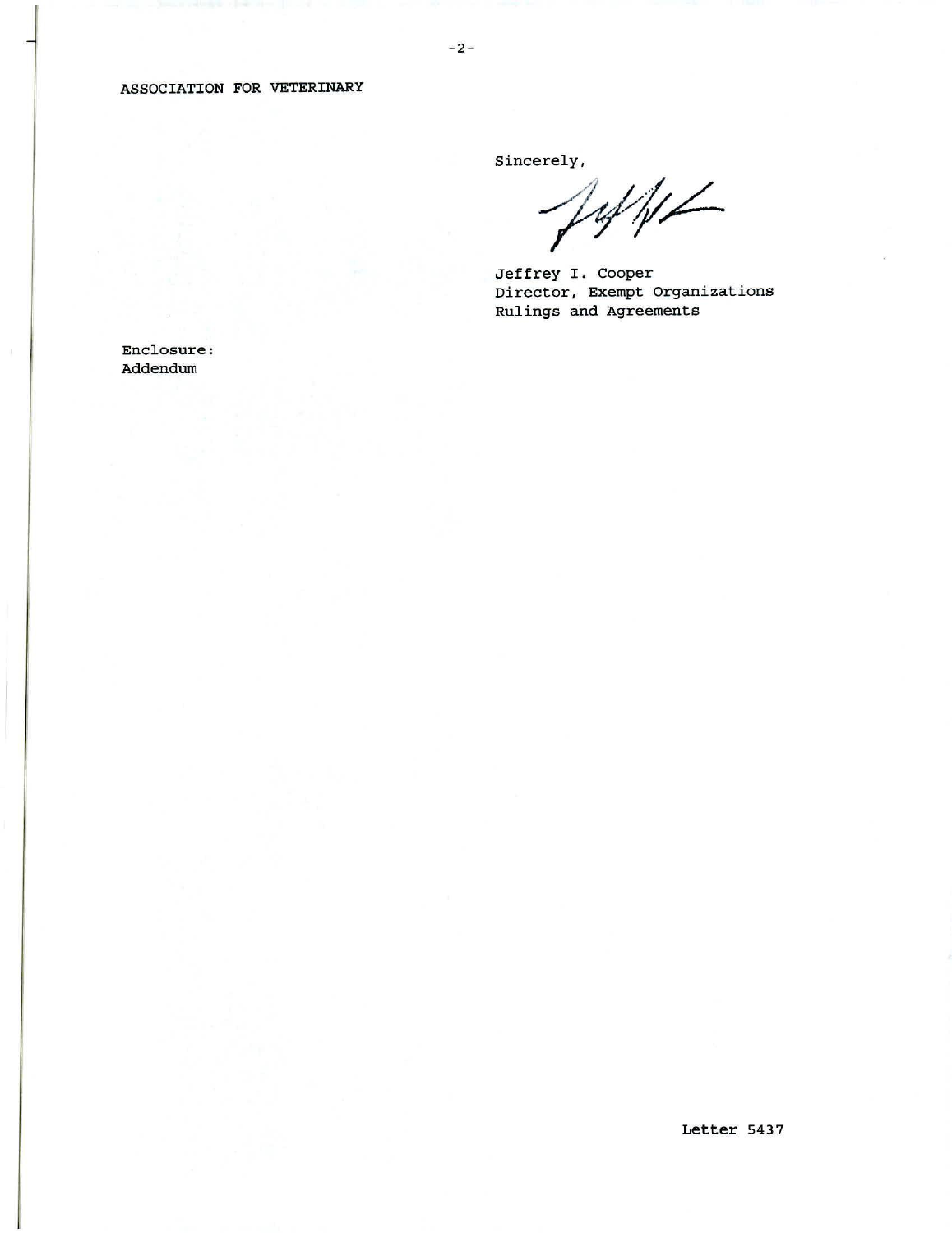## ASSOCIATION FOR VETERINARY

Sincerely,

Jeffe

Jeffrey I. Cooper Director, Exempt Organizations Rulings and Agreements

Enclosure: Addendum